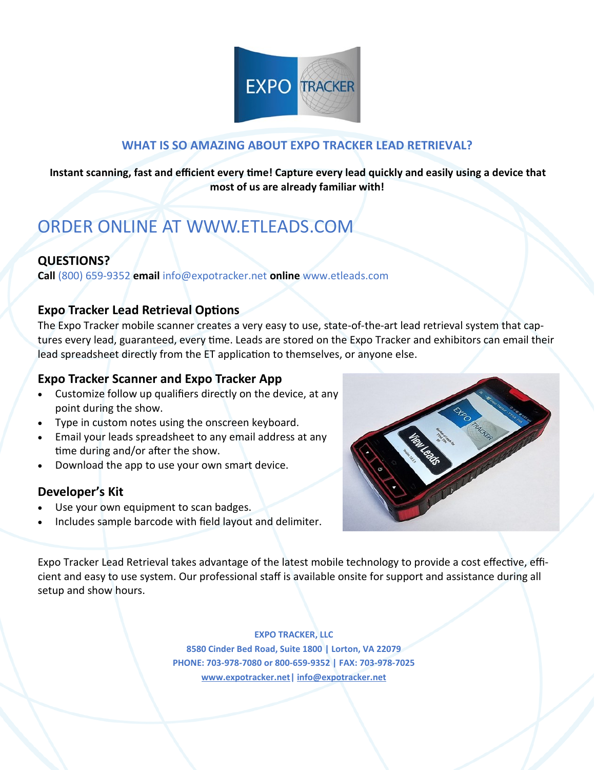

## **WHAT IS SO AMAZING ABOUT EXPO TRACKER LEAD RETRIEVAL?**

**Instant scanning, fast and efficient every time! Capture every lead quickly and easily using a device that most of us are already familiar with!**

# ORDER ONLINE AT WWW.ETLEADS.COM

# **QUESTIONS?**

**Call** (800) 659-9352 **email** info@expotracker.net **online** www.etleads.com

### **Expo Tracker Lead Retrieval Options**

The Expo Tracker mobile scanner creates a very easy to use, state-of-the-art lead retrieval system that captures every lead, guaranteed, every time. Leads are stored on the Expo Tracker and exhibitors can email their lead spreadsheet directly from the ET application to themselves, or anyone else.

## **Expo Tracker Scanner and Expo Tracker App**

- Customize follow up qualifiers directly on the device, at any point during the show.
- Type in custom notes using the onscreen keyboard.
- Email your leads spreadsheet to any email address at any time during and/or after the show.
- Download the app to use your own smart device.

### **Developer's Kit**

- Use your own equipment to scan badges.
- Includes sample barcode with field layout and delimiter.



Expo Tracker Lead Retrieval takes advantage of the latest mobile technology to provide a cost effective, efficient and easy to use system. Our professional staff is available onsite for support and assistance during all setup and show hours.

#### **EXPO TRACKER, LLC**

**8580 Cinder Bed Road, Suite 1800 | Lorton, VA 22079 PHONE: 703-978-7080 or 800-659-9352 | FAX: 703-978-7025 [www.expotracker.net|](http://www.expotracker.net/) [info@expotracker.net](mailto:info@expotracker.net)**